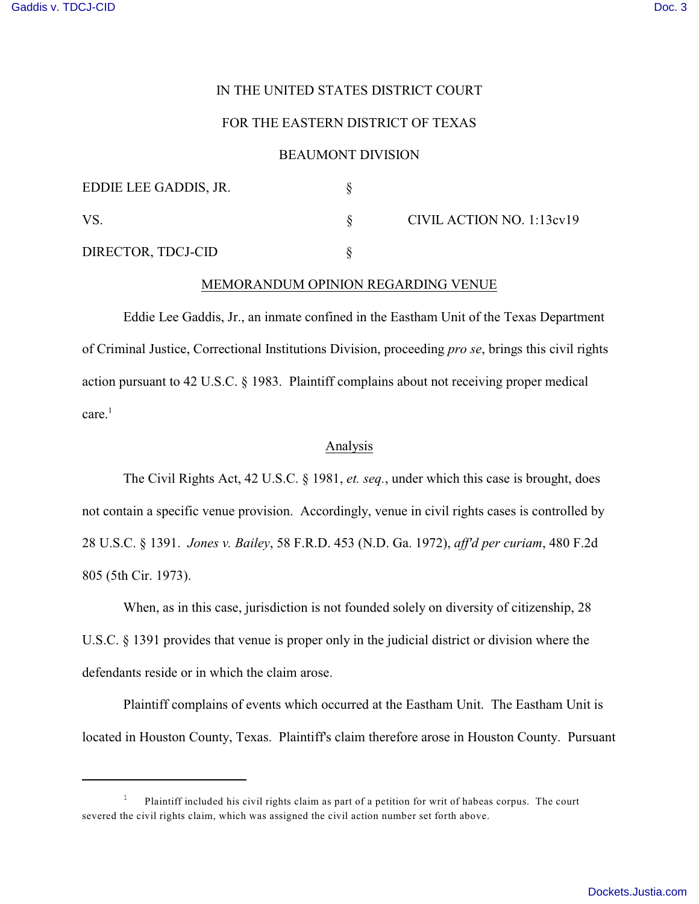# IN THE UNITED STATES DISTRICT COURT

# FOR THE EASTERN DISTRICT OF TEXAS

# BEAUMONT DIVISION

| EDDIE LEE GADDIS, JR. |                           |
|-----------------------|---------------------------|
| VS                    | CIVIL ACTION NO. 1:13cv19 |
| DIRECTOR, TDCJ-CID    |                           |

#### MEMORANDUM OPINION REGARDING VENUE

Eddie Lee Gaddis, Jr., an inmate confined in the Eastham Unit of the Texas Department of Criminal Justice, Correctional Institutions Division, proceeding *pro se*, brings this civil rights action pursuant to 42 U.S.C. § 1983. Plaintiff complains about not receiving proper medical care.<sup>1</sup>

#### Analysis

The Civil Rights Act, 42 U.S.C. § 1981, *et. seq.*, under which this case is brought, does not contain a specific venue provision. Accordingly, venue in civil rights cases is controlled by 28 U.S.C. § 1391. *Jones v. Bailey*, 58 F.R.D. 453 (N.D. Ga. 1972), *aff'd per curiam*, 480 F.2d 805 (5th Cir. 1973).

When, as in this case, jurisdiction is not founded solely on diversity of citizenship, 28 U.S.C. § 1391 provides that venue is proper only in the judicial district or division where the defendants reside or in which the claim arose.

Plaintiff complains of events which occurred at the Eastham Unit. The Eastham Unit is located in Houston County, Texas. Plaintiff's claim therefore arose in Houston County. Pursuant

<sup>&</sup>lt;sup>1</sup> Plaintiff included his civil rights claim as part of a petition for writ of habeas corpus. The court severed the civil rights claim, which was assigned the civil action number set forth above.